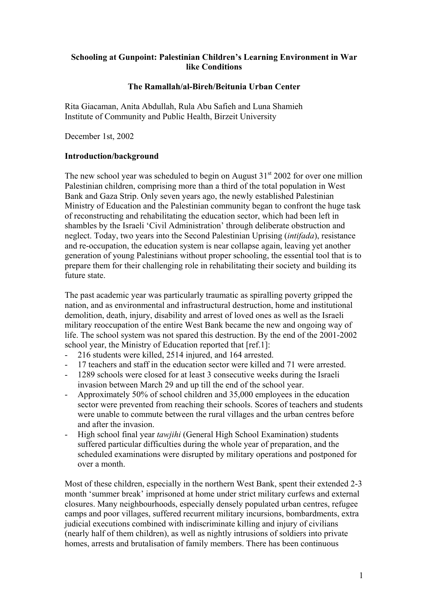# **Schooling at Gunpoint: Palestinian Children's Learning Environment in War like Conditions**

## **The Ramallah/al-Bireh/Beitunia Urban Center**

Rita Giacaman, Anita Abdullah, Rula Abu Safieh and Luna Shamieh Institute of Community and Public Health, Birzeit University

December 1st, 2002

# **Introduction/background**

The new school year was scheduled to begin on August  $31<sup>st</sup>$  2002 for over one million Palestinian children, comprising more than a third of the total population in West Bank and Gaza Strip. Only seven years ago, the newly established Palestinian Ministry of Education and the Palestinian community began to confront the huge task of reconstructing and rehabilitating the education sector, which had been left in shambles by the Israeli 'Civil Administration' through deliberate obstruction and neglect. Today, two years into the Second Palestinian Uprising (*intifada*), resistance and re-occupation, the education system is near collapse again, leaving yet another generation of young Palestinians without proper schooling, the essential tool that is to prepare them for their challenging role in rehabilitating their society and building its future state.

The past academic year was particularly traumatic as spiralling poverty gripped the nation, and as environmental and infrastructural destruction, home and institutional demolition, death, injury, disability and arrest of loved ones as well as the Israeli military reoccupation of the entire West Bank became the new and ongoing way of life. The school system was not spared this destruction. By the end of the 2001-2002 school year, the Ministry of Education reported that [ref.1]:

- 216 students were killed, 2514 injured, and 164 arrested.
- 17 teachers and staff in the education sector were killed and 71 were arrested.
- 1289 schools were closed for at least 3 consecutive weeks during the Israeli invasion between March 29 and up till the end of the school year.
- Approximately 50% of school children and 35,000 employees in the education sector were prevented from reaching their schools. Scores of teachers and students were unable to commute between the rural villages and the urban centres before and after the invasion.
- High school final year *tawjihi* (General High School Examination) students suffered particular difficulties during the whole year of preparation, and the scheduled examinations were disrupted by military operations and postponed for over a month.

Most of these children, especially in the northern West Bank, spent their extended 2-3 month 'summer break' imprisoned at home under strict military curfews and external closures. Many neighbourhoods, especially densely populated urban centres, refugee camps and poor villages, suffered recurrent military incursions, bombardments, extra judicial executions combined with indiscriminate killing and injury of civilians (nearly half of them children), as well as nightly intrusions of soldiers into private homes, arrests and brutalisation of family members. There has been continuous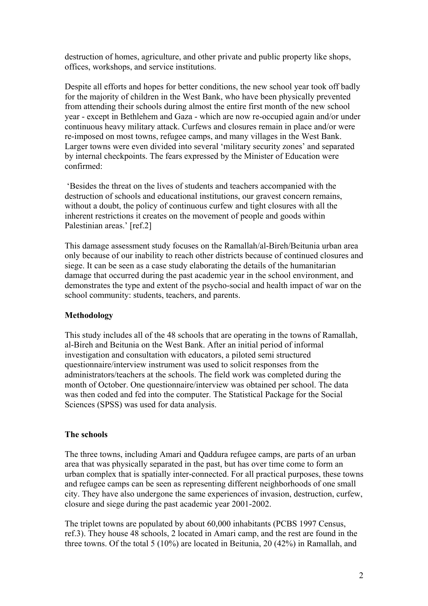destruction of homes, agriculture, and other private and public property like shops, offices, workshops, and service institutions.

Despite all efforts and hopes for better conditions, the new school year took off badly for the majority of children in the West Bank, who have been physically prevented from attending their schools during almost the entire first month of the new school year - except in Bethlehem and Gaza - which are now re-occupied again and/or under continuous heavy military attack. Curfews and closures remain in place and/or were re-imposed on most towns, refugee camps, and many villages in the West Bank. Larger towns were even divided into several 'military security zones' and separated by internal checkpoints. The fears expressed by the Minister of Education were confirmed:

 'Besides the threat on the lives of students and teachers accompanied with the destruction of schools and educational institutions, our gravest concern remains, without a doubt, the policy of continuous curfew and tight closures with all the inherent restrictions it creates on the movement of people and goods within Palestinian areas.' [ref.2]

This damage assessment study focuses on the Ramallah/al-Bireh/Beitunia urban area only because of our inability to reach other districts because of continued closures and siege. It can be seen as a case study elaborating the details of the humanitarian damage that occurred during the past academic year in the school environment, and demonstrates the type and extent of the psycho-social and health impact of war on the school community: students, teachers, and parents.

# **Methodology**

This study includes all of the 48 schools that are operating in the towns of Ramallah, al-Bireh and Beitunia on the West Bank. After an initial period of informal investigation and consultation with educators, a piloted semi structured questionnaire/interview instrument was used to solicit responses from the administrators/teachers at the schools. The field work was completed during the month of October. One questionnaire/interview was obtained per school. The data was then coded and fed into the computer. The Statistical Package for the Social Sciences (SPSS) was used for data analysis.

## **The schools**

The three towns, including Amari and Qaddura refugee camps, are parts of an urban area that was physically separated in the past, but has over time come to form an urban complex that is spatially inter-connected. For all practical purposes, these towns and refugee camps can be seen as representing different neighborhoods of one small city. They have also undergone the same experiences of invasion, destruction, curfew, closure and siege during the past academic year 2001-2002.

The triplet towns are populated by about 60,000 inhabitants (PCBS 1997 Census, ref.3). They house 48 schools, 2 located in Amari camp, and the rest are found in the three towns. Of the total 5 (10%) are located in Beitunia, 20 (42%) in Ramallah, and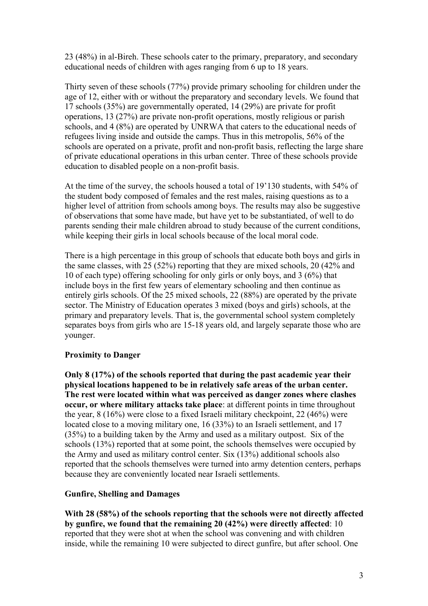23 (48%) in al-Bireh. These schools cater to the primary, preparatory, and secondary educational needs of children with ages ranging from 6 up to 18 years.

Thirty seven of these schools (77%) provide primary schooling for children under the age of 12, either with or without the preparatory and secondary levels. We found that 17 schools (35%) are governmentally operated, 14 (29%) are private for profit operations, 13 (27%) are private non-profit operations, mostly religious or parish schools, and 4 (8%) are operated by UNRWA that caters to the educational needs of refugees living inside and outside the camps. Thus in this metropolis, 56% of the schools are operated on a private, profit and non-profit basis, reflecting the large share of private educational operations in this urban center. Three of these schools provide education to disabled people on a non-profit basis.

At the time of the survey, the schools housed a total of 19'130 students, with 54% of the student body composed of females and the rest males, raising questions as to a higher level of attrition from schools among boys. The results may also be suggestive of observations that some have made, but have yet to be substantiated, of well to do parents sending their male children abroad to study because of the current conditions, while keeping their girls in local schools because of the local moral code.

There is a high percentage in this group of schools that educate both boys and girls in the same classes, with 25 (52%) reporting that they are mixed schools, 20 (42% and 10 of each type) offering schooling for only girls or only boys, and 3 (6%) that include boys in the first few years of elementary schooling and then continue as entirely girls schools. Of the 25 mixed schools, 22 (88%) are operated by the private sector. The Ministry of Education operates 3 mixed (boys and girls) schools, at the primary and preparatory levels. That is, the governmental school system completely separates boys from girls who are 15-18 years old, and largely separate those who are younger.

# **Proximity to Danger**

**Only 8 (17%) of the schools reported that during the past academic year their physical locations happened to be in relatively safe areas of the urban center. The rest were located within what was perceived as danger zones where clashes occur, or where military attacks take place**: at different points in time throughout the year, 8 (16%) were close to a fixed Israeli military checkpoint, 22 (46%) were located close to a moving military one, 16 (33%) to an Israeli settlement, and 17 (35%) to a building taken by the Army and used as a military outpost. Six of the schools (13%) reported that at some point, the schools themselves were occupied by the Army and used as military control center. Six (13%) additional schools also reported that the schools themselves were turned into army detention centers, perhaps because they are conveniently located near Israeli settlements.

## **Gunfire, Shelling and Damages**

**With 28 (58%) of the schools reporting that the schools were not directly affected by gunfire, we found that the remaining 20 (42%) were directly affected**: 10 reported that they were shot at when the school was convening and with children inside, while the remaining 10 were subjected to direct gunfire, but after school. One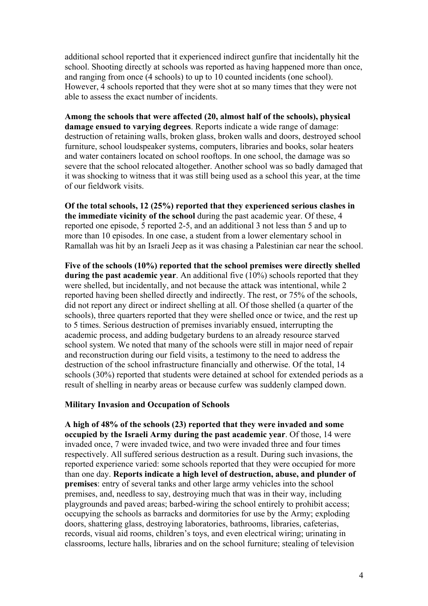additional school reported that it experienced indirect gunfire that incidentally hit the school. Shooting directly at schools was reported as having happened more than once, and ranging from once (4 schools) to up to 10 counted incidents (one school). However, 4 schools reported that they were shot at so many times that they were not able to assess the exact number of incidents.

**Among the schools that were affected (20, almost half of the schools), physical damage ensued to varying degrees**. Reports indicate a wide range of damage: destruction of retaining walls, broken glass, broken walls and doors, destroyed school furniture, school loudspeaker systems, computers, libraries and books, solar heaters and water containers located on school rooftops. In one school, the damage was so severe that the school relocated altogether. Another school was so badly damaged that it was shocking to witness that it was still being used as a school this year, at the time of our fieldwork visits.

**Of the total schools, 12 (25%) reported that they experienced serious clashes in the immediate vicinity of the school** during the past academic year. Of these, 4 reported one episode, 5 reported 2-5, and an additional 3 not less than 5 and up to more than 10 episodes. In one case, a student from a lower elementary school in Ramallah was hit by an Israeli Jeep as it was chasing a Palestinian car near the school.

**Five of the schools (10%) reported that the school premises were directly shelled during the past academic year**. An additional five (10%) schools reported that they were shelled, but incidentally, and not because the attack was intentional, while 2 reported having been shelled directly and indirectly. The rest, or 75% of the schools, did not report any direct or indirect shelling at all. Of those shelled (a quarter of the schools), three quarters reported that they were shelled once or twice, and the rest up to 5 times. Serious destruction of premises invariably ensued, interrupting the academic process, and adding budgetary burdens to an already resource starved school system. We noted that many of the schools were still in major need of repair and reconstruction during our field visits, a testimony to the need to address the destruction of the school infrastructure financially and otherwise. Of the total, 14 schools (30%) reported that students were detained at school for extended periods as a result of shelling in nearby areas or because curfew was suddenly clamped down.

#### **Military Invasion and Occupation of Schools**

**A high of 48% of the schools (23) reported that they were invaded and some occupied by the Israeli Army during the past academic year**. Of those, 14 were invaded once, 7 were invaded twice, and two were invaded three and four times respectively. All suffered serious destruction as a result. During such invasions, the reported experience varied: some schools reported that they were occupied for more than one day. **Reports indicate a high level of destruction, abuse, and plunder of premises**: entry of several tanks and other large army vehicles into the school premises, and, needless to say, destroying much that was in their way, including playgrounds and paved areas; barbed-wiring the school entirely to prohibit access; occupying the schools as barracks and dormitories for use by the Army; exploding doors, shattering glass, destroying laboratories, bathrooms, libraries, cafeterias, records, visual aid rooms, children's toys, and even electrical wiring; urinating in classrooms, lecture halls, libraries and on the school furniture; stealing of television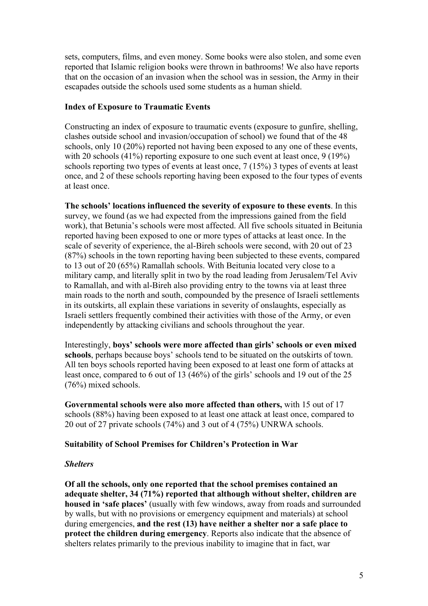sets, computers, films, and even money. Some books were also stolen, and some even reported that Islamic religion books were thrown in bathrooms! We also have reports that on the occasion of an invasion when the school was in session, the Army in their escapades outside the schools used some students as a human shield.

# **Index of Exposure to Traumatic Events**

Constructing an index of exposure to traumatic events (exposure to gunfire, shelling, clashes outside school and invasion/occupation of school) we found that of the 48 schools, only 10 (20%) reported not having been exposed to any one of these events, with 20 schools (41%) reporting exposure to one such event at least once, 9 (19%) schools reporting two types of events at least once, 7 (15%) 3 types of events at least once, and 2 of these schools reporting having been exposed to the four types of events at least once.

**The schools' locations influenced the severity of exposure to these events**. In this survey, we found (as we had expected from the impressions gained from the field work), that Betunia's schools were most affected. All five schools situated in Beitunia reported having been exposed to one or more types of attacks at least once. In the scale of severity of experience, the al-Bireh schools were second, with 20 out of 23 (87%) schools in the town reporting having been subjected to these events, compared to 13 out of 20 (65%) Ramallah schools. With Beitunia located very close to a military camp, and literally split in two by the road leading from Jerusalem/Tel Aviv to Ramallah, and with al-Bireh also providing entry to the towns via at least three main roads to the north and south, compounded by the presence of Israeli settlements in its outskirts, all explain these variations in severity of onslaughts, especially as Israeli settlers frequently combined their activities with those of the Army, or even independently by attacking civilians and schools throughout the year.

Interestingly, **boys' schools were more affected than girls' schools or even mixed schools**, perhaps because boys' schools tend to be situated on the outskirts of town. All ten boys schools reported having been exposed to at least one form of attacks at least once, compared to 6 out of 13 (46%) of the girls' schools and 19 out of the 25 (76%) mixed schools.

**Governmental schools were also more affected than others,** with 15 out of 17 schools (88%) having been exposed to at least one attack at least once, compared to 20 out of 27 private schools (74%) and 3 out of 4 (75%) UNRWA schools.

# **Suitability of School Premises for Children's Protection in War**

## *Shelters*

**Of all the schools, only one reported that the school premises contained an adequate shelter, 34 (71%) reported that although without shelter, children are housed in 'safe places'** (usually with few windows, away from roads and surrounded by walls, but with no provisions or emergency equipment and materials) at school during emergencies, **and the rest (13) have neither a shelter nor a safe place to protect the children during emergency**. Reports also indicate that the absence of shelters relates primarily to the previous inability to imagine that in fact, war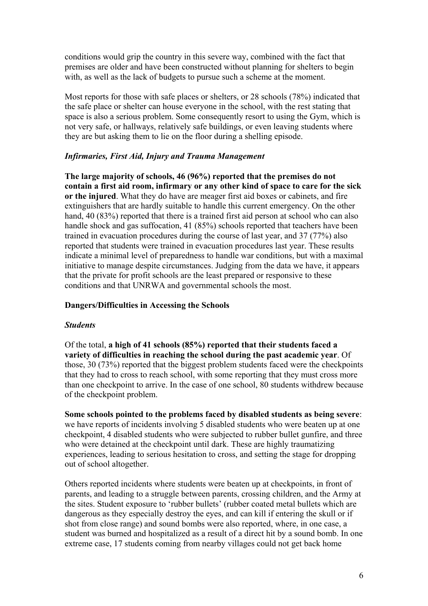conditions would grip the country in this severe way, combined with the fact that premises are older and have been constructed without planning for shelters to begin with, as well as the lack of budgets to pursue such a scheme at the moment.

Most reports for those with safe places or shelters, or 28 schools (78%) indicated that the safe place or shelter can house everyone in the school, with the rest stating that space is also a serious problem. Some consequently resort to using the Gym, which is not very safe, or hallways, relatively safe buildings, or even leaving students where they are but asking them to lie on the floor during a shelling episode.

# *Infirmaries, First Aid, Injury and Trauma Management*

**The large majority of schools, 46 (96%) reported that the premises do not contain a first aid room, infirmary or any other kind of space to care for the sick or the injured**. What they do have are meager first aid boxes or cabinets, and fire extinguishers that are hardly suitable to handle this current emergency. On the other hand, 40 (83%) reported that there is a trained first aid person at school who can also handle shock and gas suffocation, 41 (85%) schools reported that teachers have been trained in evacuation procedures during the course of last year, and 37 (77%) also reported that students were trained in evacuation procedures last year. These results indicate a minimal level of preparedness to handle war conditions, but with a maximal initiative to manage despite circumstances. Judging from the data we have, it appears that the private for profit schools are the least prepared or responsive to these conditions and that UNRWA and governmental schools the most.

## **Dangers/Difficulties in Accessing the Schools**

## *Students*

Of the total, **a high of 41 schools (85%) reported that their students faced a variety of difficulties in reaching the school during the past academic year**. Of those, 30 (73%) reported that the biggest problem students faced were the checkpoints that they had to cross to reach school, with some reporting that they must cross more than one checkpoint to arrive. In the case of one school, 80 students withdrew because of the checkpoint problem.

**Some schools pointed to the problems faced by disabled students as being severe**: we have reports of incidents involving 5 disabled students who were beaten up at one checkpoint, 4 disabled students who were subjected to rubber bullet gunfire, and three who were detained at the checkpoint until dark. These are highly traumatizing experiences, leading to serious hesitation to cross, and setting the stage for dropping out of school altogether.

Others reported incidents where students were beaten up at checkpoints, in front of parents, and leading to a struggle between parents, crossing children, and the Army at the sites. Student exposure to 'rubber bullets' (rubber coated metal bullets which are dangerous as they especially destroy the eyes, and can kill if entering the skull or if shot from close range) and sound bombs were also reported, where, in one case, a student was burned and hospitalized as a result of a direct hit by a sound bomb. In one extreme case, 17 students coming from nearby villages could not get back home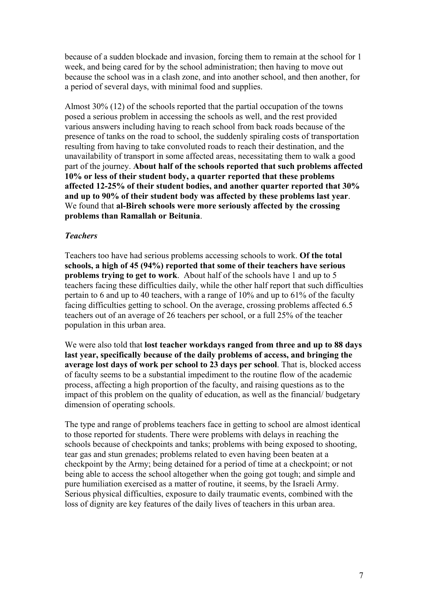because of a sudden blockade and invasion, forcing them to remain at the school for 1 week, and being cared for by the school administration; then having to move out because the school was in a clash zone, and into another school, and then another, for a period of several days, with minimal food and supplies.

Almost 30% (12) of the schools reported that the partial occupation of the towns posed a serious problem in accessing the schools as well, and the rest provided various answers including having to reach school from back roads because of the presence of tanks on the road to school, the suddenly spiraling costs of transportation resulting from having to take convoluted roads to reach their destination, and the unavailability of transport in some affected areas, necessitating them to walk a good part of the journey. **About half of the schools reported that such problems affected 10% or less of their student body, a quarter reported that these problems affected 12-25% of their student bodies, and another quarter reported that 30% and up to 90% of their student body was affected by these problems last year**. We found that **al-Bireh schools were more seriously affected by the crossing problems than Ramallah or Beitunia**.

#### *Teachers*

Teachers too have had serious problems accessing schools to work. **Of the total schools, a high of 45 (94%) reported that some of their teachers have serious problems trying to get to work**. About half of the schools have 1 and up to 5 teachers facing these difficulties daily, while the other half report that such difficulties pertain to 6 and up to 40 teachers, with a range of 10% and up to 61% of the faculty facing difficulties getting to school. On the average, crossing problems affected 6.5 teachers out of an average of 26 teachers per school, or a full 25% of the teacher population in this urban area.

We were also told that **lost teacher workdays ranged from three and up to 88 days last year, specifically because of the daily problems of access, and bringing the average lost days of work per school to 23 days per school**. That is, blocked access of faculty seems to be a substantial impediment to the routine flow of the academic process, affecting a high proportion of the faculty, and raising questions as to the impact of this problem on the quality of education, as well as the financial/ budgetary dimension of operating schools.

The type and range of problems teachers face in getting to school are almost identical to those reported for students. There were problems with delays in reaching the schools because of checkpoints and tanks; problems with being exposed to shooting, tear gas and stun grenades; problems related to even having been beaten at a checkpoint by the Army; being detained for a period of time at a checkpoint; or not being able to access the school altogether when the going got tough; and simple and pure humiliation exercised as a matter of routine, it seems, by the Israeli Army. Serious physical difficulties, exposure to daily traumatic events, combined with the loss of dignity are key features of the daily lives of teachers in this urban area.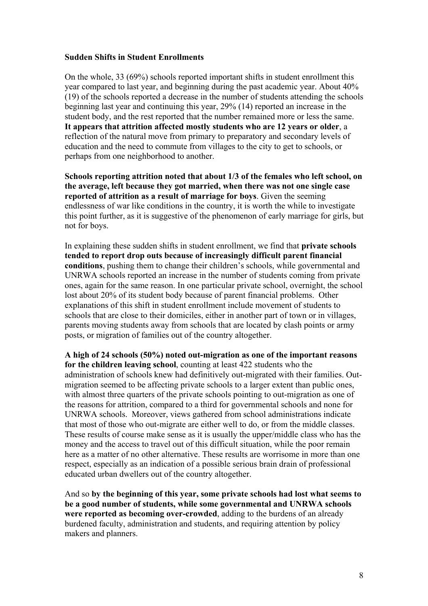### **Sudden Shifts in Student Enrollments**

On the whole, 33 (69%) schools reported important shifts in student enrollment this year compared to last year, and beginning during the past academic year. About 40% (19) of the schools reported a decrease in the number of students attending the schools beginning last year and continuing this year, 29% (14) reported an increase in the student body, and the rest reported that the number remained more or less the same. **It appears that attrition affected mostly students who are 12 years or older**, a reflection of the natural move from primary to preparatory and secondary levels of education and the need to commute from villages to the city to get to schools, or perhaps from one neighborhood to another.

**Schools reporting attrition noted that about 1/3 of the females who left school, on the average, left because they got married, when there was not one single case reported of attrition as a result of marriage for boys**. Given the seeming endlessness of war like conditions in the country, it is worth the while to investigate this point further, as it is suggestive of the phenomenon of early marriage for girls, but not for boys.

In explaining these sudden shifts in student enrollment, we find that **private schools tended to report drop outs because of increasingly difficult parent financial conditions**, pushing them to change their children's schools, while governmental and UNRWA schools reported an increase in the number of students coming from private ones, again for the same reason. In one particular private school, overnight, the school lost about 20% of its student body because of parent financial problems. Other explanations of this shift in student enrollment include movement of students to schools that are close to their domiciles, either in another part of town or in villages, parents moving students away from schools that are located by clash points or army posts, or migration of families out of the country altogether.

**A high of 24 schools (50%) noted out-migration as one of the important reasons for the children leaving school**, counting at least 422 students who the administration of schools knew had definitively out-migrated with their families. Outmigration seemed to be affecting private schools to a larger extent than public ones, with almost three quarters of the private schools pointing to out-migration as one of the reasons for attrition, compared to a third for governmental schools and none for UNRWA schools. Moreover, views gathered from school administrations indicate that most of those who out-migrate are either well to do, or from the middle classes. These results of course make sense as it is usually the upper/middle class who has the money and the access to travel out of this difficult situation, while the poor remain here as a matter of no other alternative. These results are worrisome in more than one respect, especially as an indication of a possible serious brain drain of professional educated urban dwellers out of the country altogether.

And so **by the beginning of this year, some private schools had lost what seems to be a good number of students, while some governmental and UNRWA schools were reported as becoming over-crowded**, adding to the burdens of an already burdened faculty, administration and students, and requiring attention by policy makers and planners.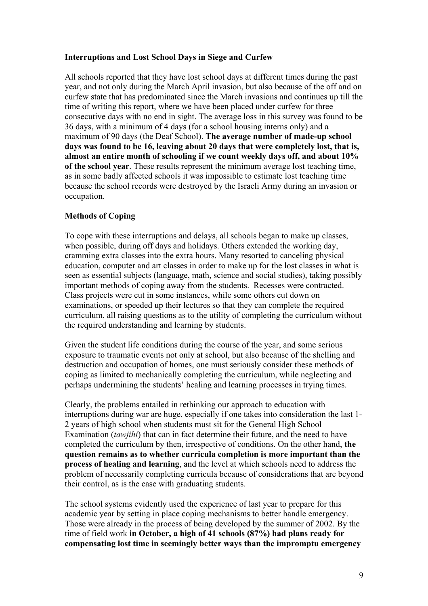# **Interruptions and Lost School Days in Siege and Curfew**

All schools reported that they have lost school days at different times during the past year, and not only during the March April invasion, but also because of the off and on curfew state that has predominated since the March invasions and continues up till the time of writing this report, where we have been placed under curfew for three consecutive days with no end in sight. The average loss in this survey was found to be 36 days, with a minimum of 4 days (for a school housing interns only) and a maximum of 90 days (the Deaf School). **The average number of made-up school days was found to be 16, leaving about 20 days that were completely lost, that is, almost an entire month of schooling if we count weekly days off, and about 10% of the school year**. These results represent the minimum average lost teaching time, as in some badly affected schools it was impossible to estimate lost teaching time because the school records were destroyed by the Israeli Army during an invasion or occupation.

# **Methods of Coping**

To cope with these interruptions and delays, all schools began to make up classes, when possible, during off days and holidays. Others extended the working day, cramming extra classes into the extra hours. Many resorted to canceling physical education, computer and art classes in order to make up for the lost classes in what is seen as essential subjects (language, math, science and social studies), taking possibly important methods of coping away from the students. Recesses were contracted. Class projects were cut in some instances, while some others cut down on examinations, or speeded up their lectures so that they can complete the required curriculum, all raising questions as to the utility of completing the curriculum without the required understanding and learning by students.

Given the student life conditions during the course of the year, and some serious exposure to traumatic events not only at school, but also because of the shelling and destruction and occupation of homes, one must seriously consider these methods of coping as limited to mechanically completing the curriculum, while neglecting and perhaps undermining the students' healing and learning processes in trying times.

Clearly, the problems entailed in rethinking our approach to education with interruptions during war are huge, especially if one takes into consideration the last 1- 2 years of high school when students must sit for the General High School Examination (*tawjihi*) that can in fact determine their future, and the need to have completed the curriculum by then, irrespective of conditions. On the other hand, **the question remains as to whether curricula completion is more important than the process of healing and learning**, and the level at which schools need to address the problem of necessarily completing curricula because of considerations that are beyond their control, as is the case with graduating students.

The school systems evidently used the experience of last year to prepare for this academic year by setting in place coping mechanisms to better handle emergency. Those were already in the process of being developed by the summer of 2002. By the time of field work **in October, a high of 41 schools (87%) had plans ready for compensating lost time in seemingly better ways than the impromptu emergency**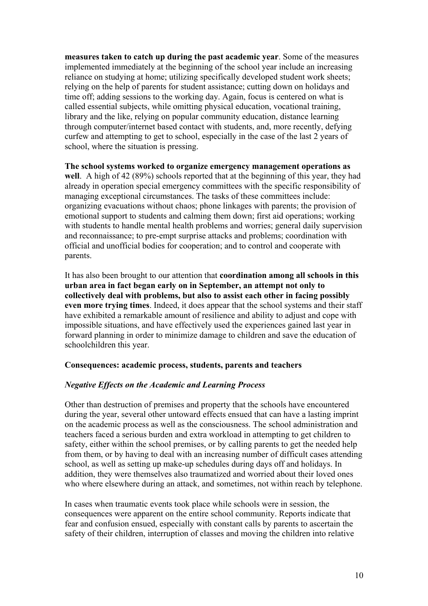**measures taken to catch up during the past academic year**. Some of the measures implemented immediately at the beginning of the school year include an increasing reliance on studying at home; utilizing specifically developed student work sheets; relying on the help of parents for student assistance; cutting down on holidays and time off; adding sessions to the working day. Again, focus is centered on what is called essential subjects, while omitting physical education, vocational training, library and the like, relying on popular community education, distance learning through computer/internet based contact with students, and, more recently, defying curfew and attempting to get to school, especially in the case of the last 2 years of school, where the situation is pressing.

**The school systems worked to organize emergency management operations as well**. A high of 42 (89%) schools reported that at the beginning of this year, they had already in operation special emergency committees with the specific responsibility of managing exceptional circumstances. The tasks of these committees include: organizing evacuations without chaos; phone linkages with parents; the provision of emotional support to students and calming them down; first aid operations; working with students to handle mental health problems and worries; general daily supervision and reconnaissance; to pre-empt surprise attacks and problems; coordination with official and unofficial bodies for cooperation; and to control and cooperate with parents.

It has also been brought to our attention that **coordination among all schools in this urban area in fact began early on in September, an attempt not only to collectively deal with problems, but also to assist each other in facing possibly even more trying times**. Indeed, it does appear that the school systems and their staff have exhibited a remarkable amount of resilience and ability to adjust and cope with impossible situations, and have effectively used the experiences gained last year in forward planning in order to minimize damage to children and save the education of schoolchildren this year.

## **Consequences: academic process, students, parents and teachers**

## *Negative Effects on the Academic and Learning Process*

Other than destruction of premises and property that the schools have encountered during the year, several other untoward effects ensued that can have a lasting imprint on the academic process as well as the consciousness. The school administration and teachers faced a serious burden and extra workload in attempting to get children to safety, either within the school premises, or by calling parents to get the needed help from them, or by having to deal with an increasing number of difficult cases attending school, as well as setting up make-up schedules during days off and holidays. In addition, they were themselves also traumatized and worried about their loved ones who where elsewhere during an attack, and sometimes, not within reach by telephone.

In cases when traumatic events took place while schools were in session, the consequences were apparent on the entire school community. Reports indicate that fear and confusion ensued, especially with constant calls by parents to ascertain the safety of their children, interruption of classes and moving the children into relative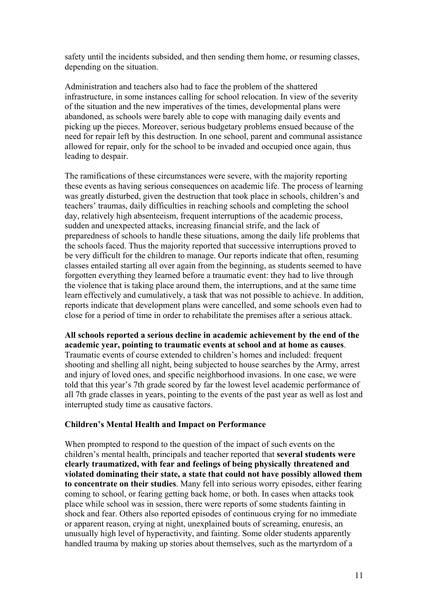safety until the incidents subsided, and then sending them home, or resuming classes, depending on the situation.

Administration and teachers also had to face the problem of the shattered infrastructure, in some instances calling for school relocation. In view of the severity of the situation and the new imperatives of the times, developmental plans were abandoned, as schools were barely able to cope with managing daily events and picking up the pieces. Moreover, serious budgetary problems ensued because of the need for repair left by this destruction. In one school, parent and communal assistance allowed for repair, only for the school to be invaded and occupied once again, thus leading to despair.

The ramifications of these circumstances were severe, with the majority reporting these events as having serious consequences on academic life. The process of learning was greatly disturbed, given the destruction that took place in schools, children's and teachers' traumas, daily difficulties in reaching schools and completing the school day, relatively high absenteeism, frequent interruptions of the academic process, sudden and unexpected attacks, increasing financial strife, and the lack of preparedness of schools to handle these situations, among the daily life problems that the schools faced. Thus the majority reported that successive interruptions proved to be very difficult for the children to manage. Our reports indicate that often, resuming classes entailed starting all over again from the beginning, as students seemed to have forgotten everything they learned before a traumatic event: they had to live through the violence that is taking place around them, the interruptions, and at the same time learn effectively and cumulatively, a task that was not possible to achieve. In addition, reports indicate that development plans were cancelled, and some schools even had to close for a period of time in order to rehabilitate the premises after a serious attack.

**All schools reported a serious decline in academic achievement by the end of the academic year, pointing to traumatic events at school and at home as causes**. Traumatic events of course extended to children's homes and included: frequent shooting and shelling all night, being subjected to house searches by the Army, arrest and injury of loved ones, and specific neighborhood invasions. In one case, we were told that this year's 7th grade scored by far the lowest level academic performance of all 7th grade classes in years, pointing to the events of the past year as well as lost and interrupted study time as causative factors.

# **Children's Mental Health and Impact on Performance**

When prompted to respond to the question of the impact of such events on the children's mental health, principals and teacher reported that **several students were clearly traumatized, with fear and feelings of being physically threatened and violated dominating their state, a state that could not have possibly allowed them to concentrate on their studies**. Many fell into serious worry episodes, either fearing coming to school, or fearing getting back home, or both. In cases when attacks took place while school was in session, there were reports of some students fainting in shock and fear. Others also reported episodes of continuous crying for no immediate or apparent reason, crying at night, unexplained bouts of screaming, enuresis, an unusually high level of hyperactivity, and fainting. Some older students apparently handled trauma by making up stories about themselves, such as the martyrdom of a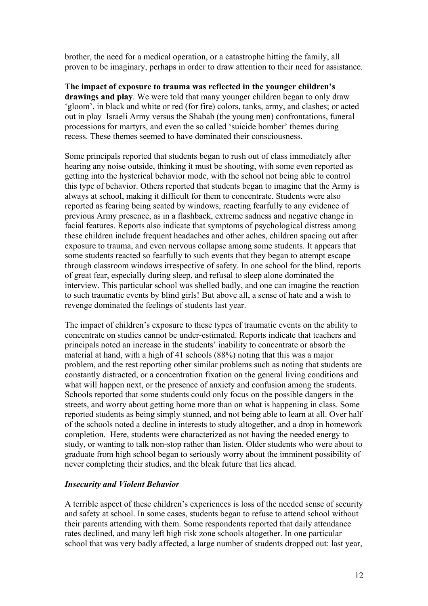brother, the need for a medical operation, or a catastrophe hitting the family, all proven to be imaginary, perhaps in order to draw attention to their need for assistance.

**The impact of exposure to trauma was reflected in the younger children's drawings and play**. We were told that many younger children began to only draw 'gloom', in black and white or red (for fire) colors, tanks, army, and clashes; or acted out in play Israeli Army versus the Shabab (the young men) confrontations, funeral processions for martyrs, and even the so called 'suicide bomber' themes during recess. These themes seemed to have dominated their consciousness.

Some principals reported that students began to rush out of class immediately after hearing any noise outside, thinking it must be shooting, with some even reported as getting into the hysterical behavior mode, with the school not being able to control this type of behavior. Others reported that students began to imagine that the Army is always at school, making it difficult for them to concentrate. Students were also reported as fearing being seated by windows, reacting fearfully to any evidence of previous Army presence, as in a flashback, extreme sadness and negative change in facial features. Reports also indicate that symptoms of psychological distress among these children include frequent headaches and other aches, children spacing out after exposure to trauma, and even nervous collapse among some students. It appears that some students reacted so fearfully to such events that they began to attempt escape through classroom windows irrespective of safety. In one school for the blind, reports of great fear, especially during sleep, and refusal to sleep alone dominated the interview. This particular school was shelled badly, and one can imagine the reaction to such traumatic events by blind girls! But above all, a sense of hate and a wish to revenge dominated the feelings of students last year.

The impact of children's exposure to these types of traumatic events on the ability to concentrate on studies cannot be under-estimated. Reports indicate that teachers and principals noted an increase in the students' inability to concentrate or absorb the material at hand, with a high of 41 schools (88%) noting that this was a major problem, and the rest reporting other similar problems such as noting that students are constantly distracted, or a concentration fixation on the general living conditions and what will happen next, or the presence of anxiety and confusion among the students. Schools reported that some students could only focus on the possible dangers in the streets, and worry about getting home more than on what is happening in class. Some reported students as being simply stunned, and not being able to learn at all. Over half of the schools noted a decline in interests to study altogether, and a drop in homework completion. Here, students were characterized as not having the needed energy to study, or wanting to talk non-stop rather than listen. Older students who were about to graduate from high school began to seriously worry about the imminent possibility of never completing their studies, and the bleak future that lies ahead.

## *Insecurity and Violent Behavior*

A terrible aspect of these children's experiences is loss of the needed sense of security and safety at school. In some cases, students began to refuse to attend school without their parents attending with them. Some respondents reported that daily attendance rates declined, and many left high risk zone schools altogether. In one particular school that was very badly affected, a large number of students dropped out: last year,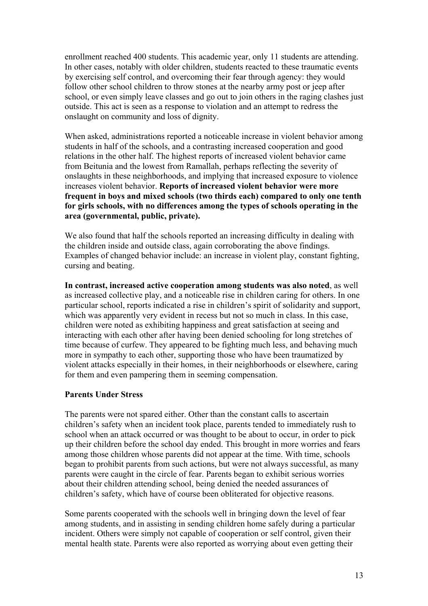enrollment reached 400 students. This academic year, only 11 students are attending. In other cases, notably with older children, students reacted to these traumatic events by exercising self control, and overcoming their fear through agency: they would follow other school children to throw stones at the nearby army post or jeep after school, or even simply leave classes and go out to join others in the raging clashes just outside. This act is seen as a response to violation and an attempt to redress the onslaught on community and loss of dignity.

When asked, administrations reported a noticeable increase in violent behavior among students in half of the schools, and a contrasting increased cooperation and good relations in the other half. The highest reports of increased violent behavior came from Beitunia and the lowest from Ramallah, perhaps reflecting the severity of onslaughts in these neighborhoods, and implying that increased exposure to violence increases violent behavior. **Reports of increased violent behavior were more frequent in boys and mixed schools (two thirds each) compared to only one tenth for girls schools, with no differences among the types of schools operating in the area (governmental, public, private).** 

We also found that half the schools reported an increasing difficulty in dealing with the children inside and outside class, again corroborating the above findings. Examples of changed behavior include: an increase in violent play, constant fighting, cursing and beating.

**In contrast, increased active cooperation among students was also noted**, as well as increased collective play, and a noticeable rise in children caring for others. In one particular school, reports indicated a rise in children's spirit of solidarity and support, which was apparently very evident in recess but not so much in class. In this case, children were noted as exhibiting happiness and great satisfaction at seeing and interacting with each other after having been denied schooling for long stretches of time because of curfew. They appeared to be fighting much less, and behaving much more in sympathy to each other, supporting those who have been traumatized by violent attacks especially in their homes, in their neighborhoods or elsewhere, caring for them and even pampering them in seeming compensation.

# **Parents Under Stress**

The parents were not spared either. Other than the constant calls to ascertain children's safety when an incident took place, parents tended to immediately rush to school when an attack occurred or was thought to be about to occur, in order to pick up their children before the school day ended. This brought in more worries and fears among those children whose parents did not appear at the time. With time, schools began to prohibit parents from such actions, but were not always successful, as many parents were caught in the circle of fear. Parents began to exhibit serious worries about their children attending school, being denied the needed assurances of children's safety, which have of course been obliterated for objective reasons.

Some parents cooperated with the schools well in bringing down the level of fear among students, and in assisting in sending children home safely during a particular incident. Others were simply not capable of cooperation or self control, given their mental health state. Parents were also reported as worrying about even getting their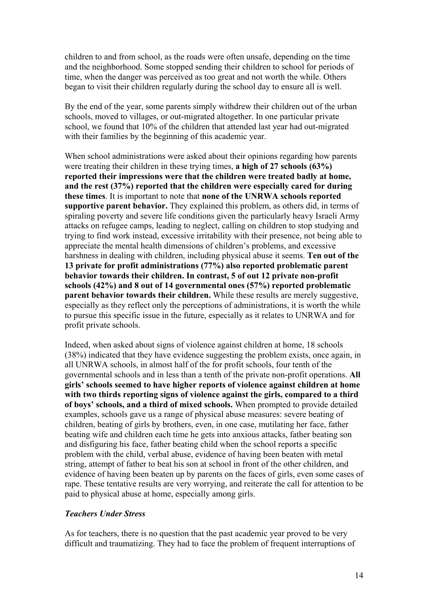children to and from school, as the roads were often unsafe, depending on the time and the neighborhood. Some stopped sending their children to school for periods of time, when the danger was perceived as too great and not worth the while. Others began to visit their children regularly during the school day to ensure all is well.

By the end of the year, some parents simply withdrew their children out of the urban schools, moved to villages, or out-migrated altogether. In one particular private school, we found that 10% of the children that attended last year had out-migrated with their families by the beginning of this academic year.

When school administrations were asked about their opinions regarding how parents were treating their children in these trying times, **a high of 27 schools (63%) reported their impressions were that the children were treated badly at home, and the rest (37%) reported that the children were especially cared for during these times**. It is important to note that **none of the UNRWA schools reported supportive parent behavior.** They explained this problem, as others did, in terms of spiraling poverty and severe life conditions given the particularly heavy Israeli Army attacks on refugee camps, leading to neglect, calling on children to stop studying and trying to find work instead, excessive irritability with their presence, not being able to appreciate the mental health dimensions of children's problems, and excessive harshness in dealing with children, including physical abuse it seems. **Ten out of the 13 private for profit administrations (77%) also reported problematic parent behavior towards their children. In contrast, 5 of out 12 private non-profit schools (42%) and 8 out of 14 governmental ones (57%) reported problematic parent behavior towards their children.** While these results are merely suggestive, especially as they reflect only the perceptions of administrations, it is worth the while to pursue this specific issue in the future, especially as it relates to UNRWA and for profit private schools.

Indeed, when asked about signs of violence against children at home, 18 schools (38%) indicated that they have evidence suggesting the problem exists, once again, in all UNRWA schools, in almost half of the for profit schools, four tenth of the governmental schools and in less than a tenth of the private non-profit operations. **All girls' schools seemed to have higher reports of violence against children at home with two thirds reporting signs of violence against the girls, compared to a third of boys' schools, and a third of mixed schools.** When prompted to provide detailed examples, schools gave us a range of physical abuse measures: severe beating of children, beating of girls by brothers, even, in one case, mutilating her face, father beating wife and children each time he gets into anxious attacks, father beating son and disfiguring his face, father beating child when the school reports a specific problem with the child, verbal abuse, evidence of having been beaten with metal string, attempt of father to beat his son at school in front of the other children, and evidence of having been beaten up by parents on the faces of girls, even some cases of rape. These tentative results are very worrying, and reiterate the call for attention to be paid to physical abuse at home, especially among girls.

## *Teachers Under Stress*

As for teachers, there is no question that the past academic year proved to be very difficult and traumatizing. They had to face the problem of frequent interruptions of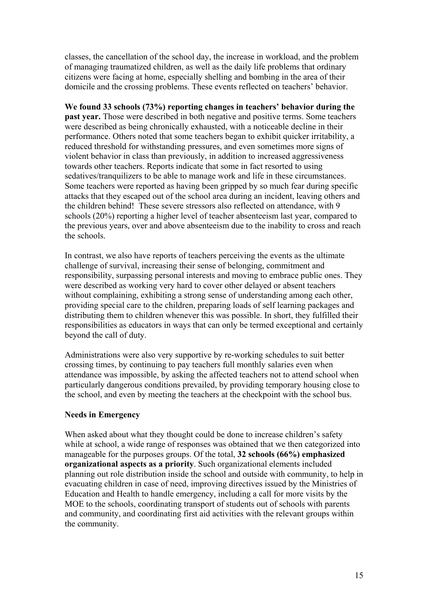classes, the cancellation of the school day, the increase in workload, and the problem of managing traumatized children, as well as the daily life problems that ordinary citizens were facing at home, especially shelling and bombing in the area of their domicile and the crossing problems. These events reflected on teachers' behavior.

**We found 33 schools (73%) reporting changes in teachers' behavior during the past year.** Those were described in both negative and positive terms. Some teachers were described as being chronically exhausted, with a noticeable decline in their performance. Others noted that some teachers began to exhibit quicker irritability, a reduced threshold for withstanding pressures, and even sometimes more signs of violent behavior in class than previously, in addition to increased aggressiveness towards other teachers. Reports indicate that some in fact resorted to using sedatives/tranquilizers to be able to manage work and life in these circumstances. Some teachers were reported as having been gripped by so much fear during specific attacks that they escaped out of the school area during an incident, leaving others and the children behind! These severe stressors also reflected on attendance, with 9 schools (20%) reporting a higher level of teacher absenteeism last year, compared to the previous years, over and above absenteeism due to the inability to cross and reach the schools.

In contrast, we also have reports of teachers perceiving the events as the ultimate challenge of survival, increasing their sense of belonging, commitment and responsibility, surpassing personal interests and moving to embrace public ones. They were described as working very hard to cover other delayed or absent teachers without complaining, exhibiting a strong sense of understanding among each other, providing special care to the children, preparing loads of self learning packages and distributing them to children whenever this was possible. In short, they fulfilled their responsibilities as educators in ways that can only be termed exceptional and certainly beyond the call of duty.

Administrations were also very supportive by re-working schedules to suit better crossing times, by continuing to pay teachers full monthly salaries even when attendance was impossible, by asking the affected teachers not to attend school when particularly dangerous conditions prevailed, by providing temporary housing close to the school, and even by meeting the teachers at the checkpoint with the school bus.

# **Needs in Emergency**

When asked about what they thought could be done to increase children's safety while at school, a wide range of responses was obtained that we then categorized into manageable for the purposes groups. Of the total, **32 schools (66%) emphasized organizational aspects as a priority**. Such organizational elements included planning out role distribution inside the school and outside with community, to help in evacuating children in case of need, improving directives issued by the Ministries of Education and Health to handle emergency, including a call for more visits by the MOE to the schools, coordinating transport of students out of schools with parents and community, and coordinating first aid activities with the relevant groups within the community.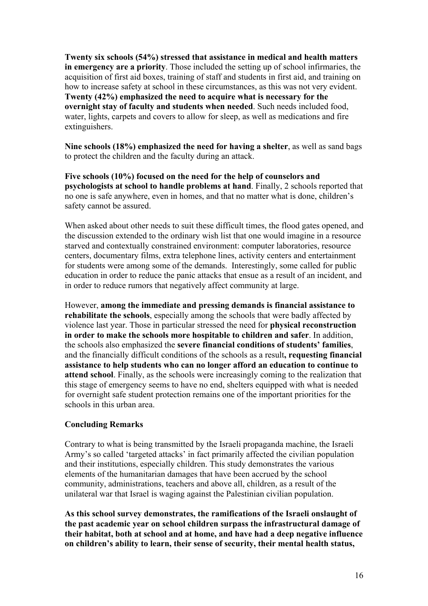**Twenty six schools (54%) stressed that assistance in medical and health matters in emergency are a priority**. Those included the setting up of school infirmaries, the acquisition of first aid boxes, training of staff and students in first aid, and training on how to increase safety at school in these circumstances, as this was not very evident. **Twenty (42%) emphasized the need to acquire what is necessary for the overnight stay of faculty and students when needed**. Such needs included food, water, lights, carpets and covers to allow for sleep, as well as medications and fire extinguishers.

**Nine schools (18%) emphasized the need for having a shelter**, as well as sand bags to protect the children and the faculty during an attack.

**Five schools (10%) focused on the need for the help of counselors and psychologists at school to handle problems at hand**. Finally, 2 schools reported that no one is safe anywhere, even in homes, and that no matter what is done, children's safety cannot be assured.

When asked about other needs to suit these difficult times, the flood gates opened, and the discussion extended to the ordinary wish list that one would imagine in a resource starved and contextually constrained environment: computer laboratories, resource centers, documentary films, extra telephone lines, activity centers and entertainment for students were among some of the demands. Interestingly, some called for public education in order to reduce the panic attacks that ensue as a result of an incident, and in order to reduce rumors that negatively affect community at large.

However, **among the immediate and pressing demands is financial assistance to rehabilitate the schools**, especially among the schools that were badly affected by violence last year. Those in particular stressed the need for **physical reconstruction in order to make the schools more hospitable to children and safer**. In addition, the schools also emphasized the **severe financial conditions of students' families**, and the financially difficult conditions of the schools as a result**, requesting financial assistance to help students who can no longer afford an education to continue to attend school**. Finally, as the schools were increasingly coming to the realization that this stage of emergency seems to have no end, shelters equipped with what is needed for overnight safe student protection remains one of the important priorities for the schools in this urban area.

## **Concluding Remarks**

Contrary to what is being transmitted by the Israeli propaganda machine, the Israeli Army's so called 'targeted attacks' in fact primarily affected the civilian population and their institutions, especially children. This study demonstrates the various elements of the humanitarian damages that have been accrued by the school community, administrations, teachers and above all, children, as a result of the unilateral war that Israel is waging against the Palestinian civilian population.

**As this school survey demonstrates, the ramifications of the Israeli onslaught of the past academic year on school children surpass the infrastructural damage of their habitat, both at school and at home, and have had a deep negative influence on children's ability to learn, their sense of security, their mental health status,**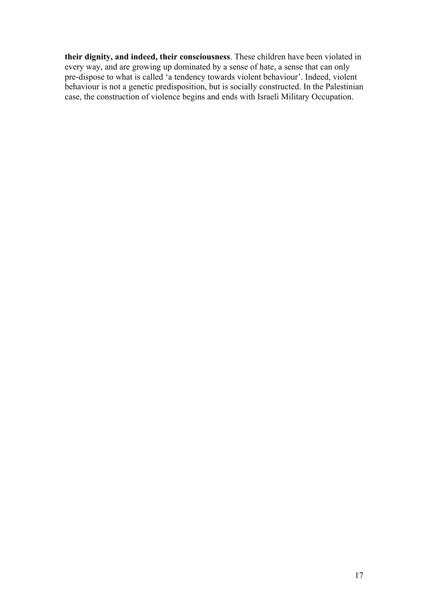**their dignity, and indeed, their consciousness**. These children have been violated in every way, and are growing up dominated by a sense of hate, a sense that can only pre-dispose to what is called 'a tendency towards violent behaviour'. Indeed, violent behaviour is not a genetic predisposition, but is socially constructed. In the Palestinian case, the construction of violence begins and ends with Israeli Military Occupation.